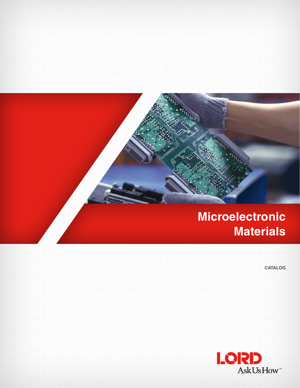## **Microelectronic Materials**

**CATALOG**

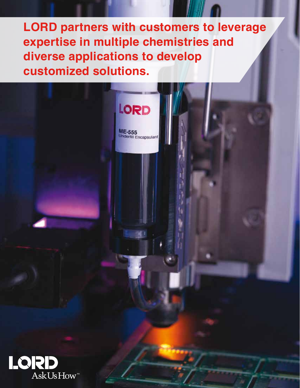**LORD partners with customers to leverage expertise in multiple chemistries and diverse applications to develop customized solutions.**

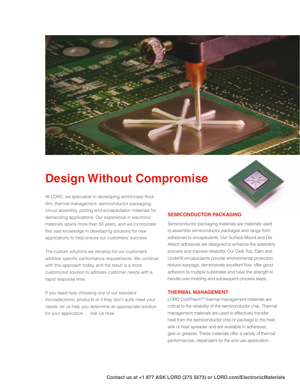

## **Design Without Compromise**

At LORD, we specialize in developing world-class thick film, thermal management, semiconductor packaging, circuit assembly, potting and encapsulation materials for demanding applications. Our experience in electronic materials spans more than 50 years, and we incorporate this vast knowledge in developing solutions for new applications to help ensure our customers' success.

The custom solutions we develop for our customers address specific performance requirements. We continue with this approach today, and the result is a more customized solution to address customer needs with a rapid response time.

If you need help choosing one of our standard microelectronic products or if they don't quite meet your needs, let us help you determine an appropriate solution for your application … Ask Us How.



## **SEMICONDUCTOR PACKAGING**

Semiconductor packaging materials are materials used to assemble semiconductor packages and range from adhesives to encapsulants. Our Surface Mount and Die Attach adhesives are designed to enhance the assembly process and improve reliability. Our Glob Top, Dam and Underfill encapsulants provide environmental protection, reduce warpage, demonstrate excellent flow, offer good adhesion to multiple substrates and have the strength to handle over-molding and subsequent process steps.

## **THERMAL MANAGEMENT**

LORD CoolTherm™ thermal management materials are critical to the reliability of the semiconductor chip. Thermal management materials are used to effectively transfer heat from the semiconductor chip or package to the heat sink or heat spreader and are available in adhesives, gels or greases. These materials offer a variety of thermal performances, dependent on the end use application.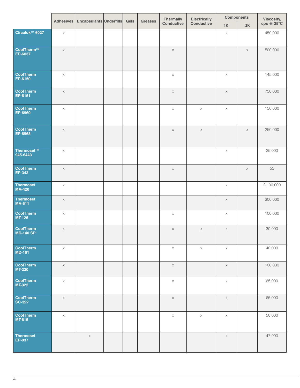|                                            |             | Adhesives Encapsulants Underfills Gels |  | Greases | Thermally  | <b>Electrically</b> | <b>Components</b> |          | Viscosity,<br>cps @ 25°C |
|--------------------------------------------|-------------|----------------------------------------|--|---------|------------|---------------------|-------------------|----------|--------------------------|
|                                            |             |                                        |  |         | Conductive | Conductive          | 1K                | 2K       |                          |
| Circalok™ 6027                             | $\times$    |                                        |  |         |            |                     | $\times$          |          | 450,000                  |
| $\fbox{\tt CoolTherm™} \ \texttt{EP-6037}$ | $\times$    |                                        |  |         | $\times$   |                     |                   | $\times$ | 500,000                  |
| CoolTherm<br>EP-6150                       | $\times$    |                                        |  |         | $\times$   |                     | $\times$          |          | 145,000                  |
| CoolTherm<br>EP-6151                       | $\times$    |                                        |  |         | $\times$   |                     | $\times$          |          | 750,000                  |
| CoolTherm<br>EP-6960                       | $\times$    |                                        |  |         | $\times$   | $\times$            | $\times$          |          | 150,000                  |
| CoolTherm<br>EP-6968                       | $\times$    |                                        |  |         | $\times$   | $\times$            |                   | $\times$ | 250,000                  |
| Thermoset™<br>945-6443                     | $\times$    |                                        |  |         |            |                     | $\times$          |          | 25,000                   |
| CoolTherm<br>EP-343                        | $\times$    |                                        |  |         | $\times$   |                     |                   | $\times$ | 55                       |
| Thermoset<br>MA-420                        | $\times$    |                                        |  |         |            |                     | $\times$          |          | 2,100,000                |
| Thermoset<br>MA-511                        | $\times$    |                                        |  |         |            |                     | $\times$          |          | 300,000                  |
| CoolTherm<br>MT-125                        | $\times$    |                                        |  |         | $\times$   |                     | $\mathsf{X}$      |          | 100,000                  |
| CoolTherm<br>MD-140 SP                     | $\times$    |                                        |  |         | $\times$   | $\times$            | $\times$          |          | 30,000                   |
| CoolTherm<br>MD-161                        | $\times$    |                                        |  |         | $\times$   | $\times$            | $\times$          |          | 40,000                   |
| CoolTherm<br>MT-220                        | $\times$    |                                        |  |         | $\times$   |                     | $\times$          |          | 100,000                  |
| CoolTherm<br>MT-322                        | $\mathsf X$ |                                        |  |         | $\times$   |                     | $\times$          |          | 65,000                   |
| CoolTherm<br>SC-322                        | $\times$    |                                        |  |         | $\times$   |                     | $\times$          |          | 65,000                   |
| CoolTherm<br>MT-815                        | $\times$    |                                        |  |         | $\times$   | $\times$            | $\times$          |          | 50,000                   |
| Thermoset<br>EP-937                        |             | $\times$                               |  |         |            |                     | X                 |          | 47,900                   |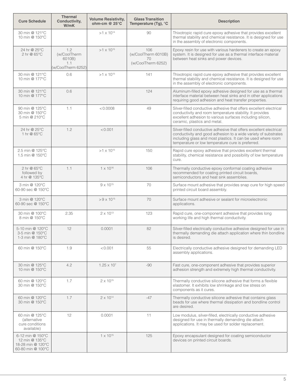| <b>Cure Schedule</b>                                                         | Thermal<br>Conductivity,<br>W/mK                           | <b>Volume Resistivity,</b><br>ohm-cm $@$ 25 $°C$ | <b>Glass Transition</b><br>Temperature (Tg), °C        | <b>Description</b>                                                                                                                                                                                                                                        |
|------------------------------------------------------------------------------|------------------------------------------------------------|--------------------------------------------------|--------------------------------------------------------|-----------------------------------------------------------------------------------------------------------------------------------------------------------------------------------------------------------------------------------------------------------|
| 30 min @ 121°C<br>10 min @ 150°C                                             |                                                            | $>1 \times 10^{14}$                              | 90                                                     | Thixotropic rapid cure epoxy adhesive that provides excellent<br>thermal stability and chemical resistance. It is designed for use<br>in the assembly of electronic components.                                                                           |
| 24 hr @ 25°C<br>2 hr @ 65°C                                                  | 1.2<br>(w/CoolTherm<br>6010B)<br>1.1<br>(w/CoolTherm 6252) | $>1 \times 10^{15}$                              | 106<br>(w/CoolTherm 6010B)<br>70<br>(w/CoolTherm 6252) | Epoxy resin for use with various hardeners to create an epoxy<br>system. It is designed for use as a thermal interface material<br>between heat sinks and power devices.                                                                                  |
| 30 min @ 121°C<br>10 min @ 177°C                                             | 0.6                                                        | $>1 \times 10^{15}$                              | 141                                                    | Thixotropic rapid cure epoxy adhesive that provides excellent<br>thermal stability and chemical resistance. It is designed for use<br>in the assembly of electronic components.                                                                           |
| 30 min @ 121°C<br>10 min @ 177°C                                             | 0.6                                                        |                                                  | 124                                                    | Aluminum-filled epoxy adhesive designed for use as a thermal<br>interface material between heat sinks and in other applications<br>requiring good adhesion and heat transfer properties.                                                                  |
| 90 min @ 125°C<br>30 min @ 150°C<br>5 min @ 210°C                            | 1.1                                                        | < 0.0008                                         | 49                                                     | Silver-filled conductive adhesive that offers excellent electrical<br>conductivity and room temperature stability. It provides<br>excellent adhesion to various surfaces including silicon,<br>ceramic, plastics and metal.                               |
| 24 hr @ 25°C<br>1 hr @ 65°C                                                  | 1.2                                                        | < 0.001                                          |                                                        | Silver-filled conductive adhesive that offers excellent electrical<br>conductivity and good adhesion to a wide variety of substrates<br>including glass and most plastics. It can be used where room<br>temperature or low temperature cure is preferred. |
| 2.5 min @ 125°C<br>1.5 min @ 150°C                                           |                                                            | $>1 \times 10^{15}$                              | 150                                                    | Rapid cure epoxy adhesive that provides excellent thermal<br>stability, chemical resistance and possibility of low temperature<br>cure.                                                                                                                   |
| 2 hr @ 65°C<br>followed by<br>4 hr @ 135°C                                   | 1.1                                                        | $1 \times 10^{16}$                               | 106                                                    | Thermally conductive epoxy conformal coating adhesive<br>recommended for coating printed circuit boards,<br>semiconductors and heat sink assemblies.                                                                                                      |
| 3 min @ 120°C<br>60-90 sec @ 150°C                                           |                                                            | $9 \times 10^{15}$                               | 70                                                     | Surface mount adhesive that provides snap cure for high speed<br>printed circuit board assembly.                                                                                                                                                          |
| 3 min @ 120°C<br>60-90 sec @ 150°C                                           |                                                            | $> 9 \times 10^{15}$                             | 70                                                     | Surface mount adhesive or sealant for microelectronic<br>applications.                                                                                                                                                                                    |
| 30 min @ 100°C<br>8 min @ 150°C                                              | 2.35                                                       | $2 \times 10^{13}$                               | 123                                                    | Rapid cure, one-component adhesive that provides long<br>working life and high thermal conductivity.                                                                                                                                                      |
| 5-10 min @ 120°C<br>3-5 min @ 150°C<br>1-3 min @ 180°C                       | 12                                                         | 0.0001                                           | 82                                                     | Silver-filled electrically conductive adhesive designed for use in<br>thermally demanding die attach application where thin bondline<br>is desired.                                                                                                       |
| 60 min @ 150°C                                                               | 1.9                                                        | < 0.001                                          | 55                                                     | Electrically conductive adhesive designed for demanding LED<br>assembly applications.                                                                                                                                                                     |
| 30 min @ 125°C<br>10 min @ 150°C                                             | 4.2                                                        | $1.25 \times 10^{7}$                             | -90                                                    | Fast cure, one-component adhesive that provides superior<br>adhesion strength and extremely high thermal conductivity.                                                                                                                                    |
| 60 min @ 120°C<br>30 min @ 150°C                                             | 1.7                                                        | $2 \times 10^{15}$                               |                                                        | Thermally conductive silicone adhesive that forms a flexible<br>elastomer. It exhibits low shrinkage and low stress on<br>components as it cures.                                                                                                         |
| 60 min @ 120°C<br>30 min @ 150°C                                             | 1.7                                                        | $2 \times 10^{14}$                               | $-47$                                                  | Thermally conductive silicone adhesive that contains glass<br>beads for use where thermal dissipation and bondline control<br>are desired.                                                                                                                |
| 60 min @ 125°C<br>(alternative<br>cure conditions<br>available)              | 12                                                         | 0.0001                                           | 11                                                     | Low modulus, silver-filled, electrically conductive adhesive<br>designed for use in thermally demanding die attach<br>applications. It may be used for solder replacement.                                                                                |
| 6-12 min @ 150°C<br>12 min @ 135°C<br>18-28 min @ 120°C<br>60-80 min @ 100°C |                                                            | $1 \times 10^{15}$                               | 125                                                    | Epoxy encapsulant designed for coating semiconductor<br>devices on printed circuit boards.                                                                                                                                                                |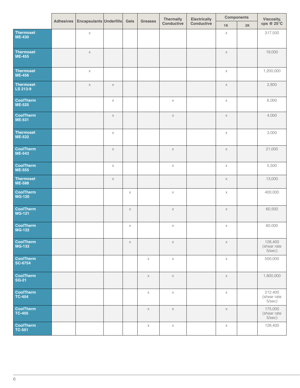|                                   |                                        |          |          |                | Thermally  | Electrically |          | <b>Components</b> | Viscosity,<br>cps @ 25°C         |
|-----------------------------------|----------------------------------------|----------|----------|----------------|------------|--------------|----------|-------------------|----------------------------------|
|                                   | Adhesives Encapsulants Underfills Gels |          |          | <b>Greases</b> | Conductive | Conductive   | 1K       | 2K                |                                  |
| Thermoset<br>ME-430               | $\times$                               |          |          |                |            |              | $\times$ |                   | 317,500                          |
| Thermoset<br>ME-455               | $\times$                               |          |          |                |            |              | $\times$ |                   | 19,000                           |
| Thermoset<br>ME-456               | $\times$                               |          |          |                |            |              | $\times$ |                   | 1,200,000                        |
| Thermoset<br>LS 213-9             | $\times$                               | $\times$ |          |                |            |              | $\times$ |                   | 2,800                            |
| CoolTherm<br>ME-525               |                                        | $\times$ |          |                | $\times$   |              | $\times$ |                   | 6,000                            |
| CoolTherm<br>ME-531               |                                        | $\times$ |          |                | $\times$   |              | $\times$ |                   | 4,000                            |
| Thermoset<br>ME-532               |                                        | $\times$ |          |                |            |              | $\times$ |                   | 3,000                            |
| CoolTherm<br>ME-543               |                                        | $\times$ |          |                | $\times$   |              | $\times$ |                   | 21,000                           |
| CoolTherm<br>ME-555               |                                        | $\times$ |          |                | $\times$   |              | $\times$ |                   | 5,500                            |
| Thermoset<br>ME-588               |                                        | $\times$ |          |                |            |              | $\times$ |                   | 13,000                           |
| CoolTherm<br>MG-120               |                                        |          | $\times$ |                | $\times$   |              | $\times$ |                   | 400,000                          |
| CoolTherm<br>MG-121               |                                        |          | $\times$ |                | $\times$   |              | $\times$ |                   | 60,500                           |
| CoolTherm<br>MG-122               |                                        |          | $\times$ |                | $\times$   |              | $\times$ |                   | 60,000                           |
| <b>CoolTherm</b><br>MG-133        |                                        |          | X        |                | $\times$   |              | $\times$ |                   | 128,400<br>(shear rate<br>5/sec) |
| CoolTherm<br>SC-6754              |                                        |          |          | $\times$       | $\times$   |              | $\times$ |                   | 500,000                          |
| CoolTherm<br>SG-21                |                                        |          |          | $\times$       | $\times$   |              | $\times$ |                   | 1,800,000                        |
| CoolTherm<br>TC-404               |                                        |          |          | $\mathsf{X}$   | $\times$   |              | $\times$ |                   | 212,400<br>(shear rate<br>5/sec) |
| CoolTherm<br>TC-405               |                                        |          |          | $\times$       | $\times$   |              | $\times$ |                   | 175,000<br>(shear rate<br>5/sec) |
| <b>CoolTherm</b><br><b>TC-501</b> |                                        |          |          | $\times$       | $\times$   |              | $\times$ |                   | 128,400                          |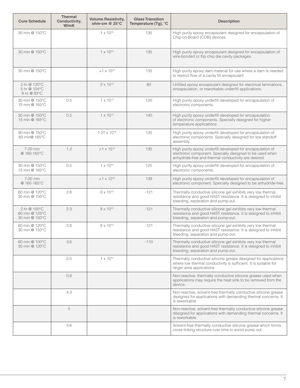| <b>Cure Schedule</b>                             | Thermal<br>Conductivity,<br>W/mK | <b>Volume Resistivity,</b><br>ohm-cm $@$ 25 $°C$ | <b>Glass Transition</b><br>Temperature (Tg), °C | <b>Description</b>                                                                                                                                                             |
|--------------------------------------------------|----------------------------------|--------------------------------------------------|-------------------------------------------------|--------------------------------------------------------------------------------------------------------------------------------------------------------------------------------|
| 30 min @ 150°C                                   |                                  | $1 \times 10^{15}$                               | 135                                             | High purity epoxy encapsulant designed for encapsulation of<br>Chip-on-Board (COB) devices.                                                                                    |
| 30 min @ 150°C                                   |                                  | $1 \times 10^{15}$                               | 135                                             | High purity epoxy encapsulant designed for encapsulation of<br>wire-bonded or flip chip die cavity packages.                                                                   |
| 30 min @ 150°C                                   |                                  | $>1 \times 10^{15}$                              | 135                                             | High purity epoxy dam material for use where a dam is needed<br>to restrict flow of a cavity fill encapsulant.                                                                 |
| 2 hr @ 120°C<br>5 hr @ 104°C<br>8 hr @ 93°C      |                                  | $2 \times 10^{15}$                               | 80                                              | Unfilled epoxy encapsulant designed for electrical laminations,<br>encapsulation, or reworkable underfill applications.                                                        |
| 30 min @ 150°C<br>15 min @ 165°C                 | 0.5                              | $1 \times 10^{15}$                               | 120                                             | High purity epoxy underfill developed for encapsulation of<br>electronic components.                                                                                           |
| 30 min @ 150°C<br>15 min @ 165°C                 | 0.5                              | $1 \times 10^{15}$                               | 140                                             | High purity epoxy underfill developed for encapsulation<br>of electronic components. Specially designed for higher<br>temperature applications.                                |
| 90 min @ 150°C<br>60 min@ 165°C                  |                                  | $1.27 \times 10^{16}$                            | 135                                             | High purity epoxy underfill developed for encapsulation of<br>electronic components. Specially designed for low standoff<br>assembly.                                          |
| 7-20 min<br>@ 160-165°C                          | 1.2                              | $>1 \times 10^{15}$                              | 135                                             | High purity epoxy underfill developed for encapsulation of<br>electronic component. Specially designed to be used when<br>anhydride-free and thermal conductivity are desired. |
| 30 min @ 150°C<br>15 min @ 165°C                 | 0.5                              | $1 \times 10^{15}$                               | 125                                             | High purity epoxy underfill developed for encapsulation of<br>electronic components.                                                                                           |
| 7-20 min<br>@ 160-165°C                          |                                  | $>1 \times 10^{15}$                              | 139                                             | High purity epoxy underfill developed for encapsulation of<br>electronic component. Specially designed to be anhydride-free.                                                   |
| 60 min @ 120°C<br>30 min @ 150°C                 | 2.8                              | $8 \times 10^{13}$                               | $-121$                                          | Thermally conductive silicone gel exhibits very low thermal<br>resistance and good HAST resistance. It is designed to inhibit<br>bleeding, separation and pump-out.            |
| 2 hr @ 100°C<br>60 min @ 125°C<br>30 min @ 150°C | 2.3                              | $8 \times 10^{13}$                               | $-121$                                          | Thermally conductive silicone gel exhibits very low thermal<br>resistance and good HAST resistance. It is designed to inhibit<br>bleeding, separation and pump-out.            |
| 60 min @ 120°C<br>30 min @ 150°C                 | 2.8                              | $8 \times 10^{13}$                               | $-121$                                          | Thermally conductive silicone gel exhibits very low thermal<br>resistance and good HAST resistance. It is designed to inhibit<br>bleeding, separation and pump-out.            |
| 60 min @ 100°C<br>30 min @ 120°C                 | 3.6                              |                                                  | $-110$                                          | Thermally conductive silicone gel exhibits very low thermal<br>resistance and good HAST resistance. It is designed to inhibit<br>bleeding, separation and pump-out.            |
|                                                  | 0.5                              | $1 \times 10^{14}$                               |                                                 | Thermally conductive silicone grease designed for applications<br>where low thermal conductivity is sufficient. It is suitable for<br>larger area applications.                |
|                                                  | 0.8                              |                                                  |                                                 | Non-reactive, thermally conductive silicone grease used when<br>applications may require the heat sink to be removed from the<br>device.                                       |
|                                                  | 4.3                              |                                                  |                                                 | Non-reactive, solvent-free thermally conductive silicone grease<br>designed for applications with demanding thermal concerns. It<br>is reworkable.                             |
|                                                  | 5                                |                                                  |                                                 | Non-reactive, solvent-free thermally conductive silicone grease<br>designed for applications with demanding thermal concerns. It<br>is reworkable.                             |
|                                                  | 3.6                              |                                                  |                                                 | Solvent-free thermally conductive silicone grease which forms<br>cross-linking structure over time to avoid pump out.                                                          |